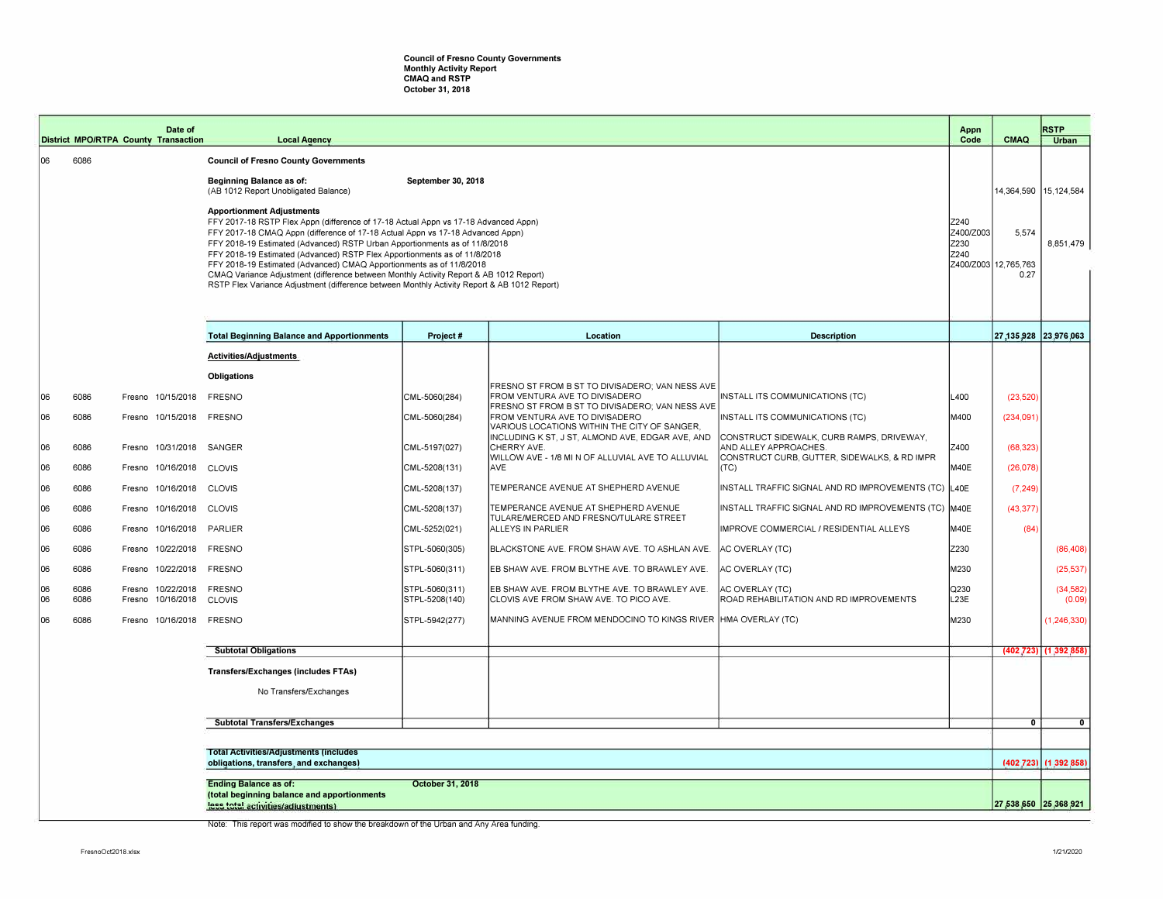## **Council of Fresno County Governments Monthly Activity Report CMAQ and RSTP October 31, 2018**

|          |                                                                                                                                       | Date of<br><b>District MPO/RTPA County Transaction</b> | <b>Local Agency</b>                                                                                                                                                                                                                                                                                                                                                                                                                                                                                                                                                                                                                                           |                                  |                                                                                                                                   |                                                                                                                    | Appn<br>Code | <b>CMAQ</b>                                        | <b>RSTP</b><br><b>Urban</b> |
|----------|---------------------------------------------------------------------------------------------------------------------------------------|--------------------------------------------------------|---------------------------------------------------------------------------------------------------------------------------------------------------------------------------------------------------------------------------------------------------------------------------------------------------------------------------------------------------------------------------------------------------------------------------------------------------------------------------------------------------------------------------------------------------------------------------------------------------------------------------------------------------------------|----------------------------------|-----------------------------------------------------------------------------------------------------------------------------------|--------------------------------------------------------------------------------------------------------------------|--------------|----------------------------------------------------|-----------------------------|
| 06       | 6086                                                                                                                                  |                                                        | <b>Council of Fresno County Governments</b>                                                                                                                                                                                                                                                                                                                                                                                                                                                                                                                                                                                                                   |                                  |                                                                                                                                   |                                                                                                                    |              |                                                    |                             |
|          |                                                                                                                                       |                                                        | Beginning Balance as of:<br>(AB 1012 Report Unobligated Balance)                                                                                                                                                                                                                                                                                                                                                                                                                                                                                                                                                                                              | September 30, 2018               |                                                                                                                                   |                                                                                                                    |              |                                                    | 14,364,590 15,124,584       |
|          |                                                                                                                                       |                                                        | <b>Apportionment Adjustments</b><br>FFY 2017-18 RSTP Flex Appn (difference of 17-18 Actual Appn vs 17-18 Advanced Appn)<br>Z240<br>FFY 2017-18 CMAQ Appn (difference of 17-18 Actual Appn vs 17-18 Advanced Appn)<br>Z230<br>FFY 2018-19 Estimated (Advanced) RSTP Urban Apportionments as of 11/8/2018<br>FFY 2018-19 Estimated (Advanced) RSTP Flex Apportionments as of 11/8/2018<br>Z240<br>FFY 2018-19 Estimated (Advanced) CMAQ Apportionments as of 11/8/2018<br>CMAQ Variance Adjustment (difference between Monthly Activity Report & AB 1012 Report)<br>RSTP Flex Variance Adjustment (difference between Monthly Activity Report & AB 1012 Report) |                                  |                                                                                                                                   |                                                                                                                    |              | 5,574<br>Z400/Z003<br>Z400/Z003 12,765,763<br>0.27 | 8,851,479                   |
|          |                                                                                                                                       |                                                        |                                                                                                                                                                                                                                                                                                                                                                                                                                                                                                                                                                                                                                                               |                                  |                                                                                                                                   |                                                                                                                    |              |                                                    |                             |
|          |                                                                                                                                       |                                                        | <b>Total Beginning Balance and Apportionments</b>                                                                                                                                                                                                                                                                                                                                                                                                                                                                                                                                                                                                             | Project #                        | Location                                                                                                                          | <b>Description</b>                                                                                                 |              |                                                    | 27,135,928 23,976,063       |
|          |                                                                                                                                       |                                                        | Activities/Adjustments                                                                                                                                                                                                                                                                                                                                                                                                                                                                                                                                                                                                                                        |                                  |                                                                                                                                   |                                                                                                                    |              |                                                    |                             |
|          |                                                                                                                                       |                                                        | <b>Obligations</b>                                                                                                                                                                                                                                                                                                                                                                                                                                                                                                                                                                                                                                            |                                  |                                                                                                                                   |                                                                                                                    |              |                                                    |                             |
| 06       | 6086                                                                                                                                  | Fresno 10/15/2018 FRESNO                               |                                                                                                                                                                                                                                                                                                                                                                                                                                                                                                                                                                                                                                                               | CML-5060(284)                    | FRESNO ST FROM B ST TO DIVISADERO: VAN NESS AVE<br>FROM VENTURA AVE TO DIVISADERO                                                 | INSTALL ITS COMMUNICATIONS (TC)                                                                                    | L400         | (23, 520)                                          |                             |
| 06       | 6086                                                                                                                                  | Fresno 10/15/2018 FRESNO                               |                                                                                                                                                                                                                                                                                                                                                                                                                                                                                                                                                                                                                                                               | CML-5060(284)                    | FRESNO ST FROM B ST TO DIVISADERO; VAN NESS AVE<br>FROM VENTURA AVE TO DIVISADERO<br>VARIOUS LOCATIONS WITHIN THE CITY OF SANGER, | INSTALL ITS COMMUNICATIONS (TC)                                                                                    | M400         | (234,091)                                          |                             |
| 06       | 6086                                                                                                                                  | Fresno 10/31/2018 SANGER                               |                                                                                                                                                                                                                                                                                                                                                                                                                                                                                                                                                                                                                                                               | CML-5197(027)                    | INCLUDING K ST, J ST, ALMOND AVE, EDGAR AVE, AND<br>CHERRY AVE.<br>WILLOW AVE - 1/8 MI N OF ALLUVIAL AVE TO ALLUVIAL              | CONSTRUCT SIDEWALK, CURB RAMPS, DRIVEWAY,<br>AND ALLEY APPROACHES.<br>CONSTRUCT CURB, GUTTER, SIDEWALKS, & RD IMPR | Z400         | (68, 323)                                          |                             |
| 06       | 6086                                                                                                                                  | Fresno 10/16/2018                                      | <b>CLOVIS</b>                                                                                                                                                                                                                                                                                                                                                                                                                                                                                                                                                                                                                                                 | CML-5208(131)                    | AVE                                                                                                                               | (TC)                                                                                                               | M40E         | (26, 078)                                          |                             |
| 06       | 6086                                                                                                                                  | Fresno 10/16/2018 CLOVIS                               |                                                                                                                                                                                                                                                                                                                                                                                                                                                                                                                                                                                                                                                               | CML-5208(137)                    | TEMPERANCE AVENUE AT SHEPHERD AVENUE                                                                                              | INSTALL TRAFFIC SIGNAL AND RD IMPROVEMENTS (TC) L40E                                                               |              | (7, 249)                                           |                             |
| 06       | 6086                                                                                                                                  | Fresno 10/16/2018 CLOVIS                               |                                                                                                                                                                                                                                                                                                                                                                                                                                                                                                                                                                                                                                                               | CML-5208(137)                    | TEMPERANCE AVENUE AT SHEPHERD AVENUE<br>TULARE/MERCED AND FRESNO/TULARE STREET                                                    | INSTALL TRAFFIC SIGNAL AND RD IMPROVEMENTS (TC) M40E                                                               |              | (43, 377)                                          |                             |
| 06       | 6086                                                                                                                                  | Fresno 10/16/2018 PARLIER                              |                                                                                                                                                                                                                                                                                                                                                                                                                                                                                                                                                                                                                                                               | CML-5252(021)                    | ALLEYS IN PARLIER                                                                                                                 | IMPROVE COMMERCIAL / RESIDENTIAL ALLEYS                                                                            | M40E         | (84)                                               |                             |
| 06       | 6086                                                                                                                                  | Fresno 10/22/2018 FRESNO                               |                                                                                                                                                                                                                                                                                                                                                                                                                                                                                                                                                                                                                                                               | STPL-5060(305)                   | BLACKSTONE AVE. FROM SHAW AVE. TO ASHLAN AVE.                                                                                     | AC OVERLAY (TC)                                                                                                    | Z230         |                                                    | (86, 408)                   |
| 06       | 6086                                                                                                                                  | Fresno 10/22/2018 FRESNO                               |                                                                                                                                                                                                                                                                                                                                                                                                                                                                                                                                                                                                                                                               | STPL-5060(311)                   | EB SHAW AVE. FROM BLYTHE AVE. TO BRAWLEY AVE.                                                                                     | AC OVERLAY (TC)                                                                                                    | M230         |                                                    | (25, 537)                   |
| 06<br>06 | 6086<br>6086                                                                                                                          | Fresno 10/22/2018<br>Fresno<br>10/16/2018              | <b>FRESNO</b><br><b>CLOVIS</b>                                                                                                                                                                                                                                                                                                                                                                                                                                                                                                                                                                                                                                | STPL-5060(311)<br>STPL-5208(140) | EB SHAW AVE. FROM BLYTHE AVE. TO BRAWLEY AVE.<br>CLOVIS AVE FROM SHAW AVE. TO PICO AVE.                                           | AC OVERLAY (TC)<br>ROAD REHABILITATION AND RD IMPROVEMENTS                                                         | Q230<br>L23E |                                                    | (34, 582)<br>(0.09)         |
| 06       | 6086                                                                                                                                  | Fresno 10/16/2018 FRESNO                               |                                                                                                                                                                                                                                                                                                                                                                                                                                                                                                                                                                                                                                                               | STPL-5942(277)                   | MANNING AVENUE FROM MENDOCINO TO KINGS RIVER HMA OVERLAY (TC)                                                                     |                                                                                                                    | M230         |                                                    | (1, 246, 330)               |
|          |                                                                                                                                       |                                                        | <b>Subtotal Obligations</b>                                                                                                                                                                                                                                                                                                                                                                                                                                                                                                                                                                                                                                   |                                  |                                                                                                                                   |                                                                                                                    |              |                                                    | $(402, 723)$ $(1.392, 858)$ |
|          |                                                                                                                                       |                                                        | <b>Transfers/Exchanges (includes FTAs)</b>                                                                                                                                                                                                                                                                                                                                                                                                                                                                                                                                                                                                                    |                                  |                                                                                                                                   |                                                                                                                    |              |                                                    |                             |
|          |                                                                                                                                       |                                                        | No Transfers/Exchanges                                                                                                                                                                                                                                                                                                                                                                                                                                                                                                                                                                                                                                        |                                  |                                                                                                                                   |                                                                                                                    |              |                                                    |                             |
|          |                                                                                                                                       |                                                        |                                                                                                                                                                                                                                                                                                                                                                                                                                                                                                                                                                                                                                                               |                                  |                                                                                                                                   |                                                                                                                    |              |                                                    |                             |
|          |                                                                                                                                       |                                                        | <b>Subtotal Transfers/Exchanges</b>                                                                                                                                                                                                                                                                                                                                                                                                                                                                                                                                                                                                                           |                                  |                                                                                                                                   |                                                                                                                    |              | $\overline{0}$                                     | $\overline{0}$              |
|          |                                                                                                                                       | <b>Total Activities/Adjustments (includes</b>          |                                                                                                                                                                                                                                                                                                                                                                                                                                                                                                                                                                                                                                                               |                                  |                                                                                                                                   |                                                                                                                    |              |                                                    |                             |
|          | obligations, transfers, and exchanges)                                                                                                |                                                        |                                                                                                                                                                                                                                                                                                                                                                                                                                                                                                                                                                                                                                                               |                                  |                                                                                                                                   |                                                                                                                    |              |                                                    | (402.723) (1.392.858)       |
|          | October 31, 2018<br><b>Ending Balance as of:</b><br>(total beginning balance and apportionments<br>less total activities/adiustments) |                                                        |                                                                                                                                                                                                                                                                                                                                                                                                                                                                                                                                                                                                                                                               |                                  |                                                                                                                                   |                                                                                                                    |              |                                                    | 27,538,650 25,368,921       |

Note: This report was modified to show the breakdown of the Urban and Any Area funding.